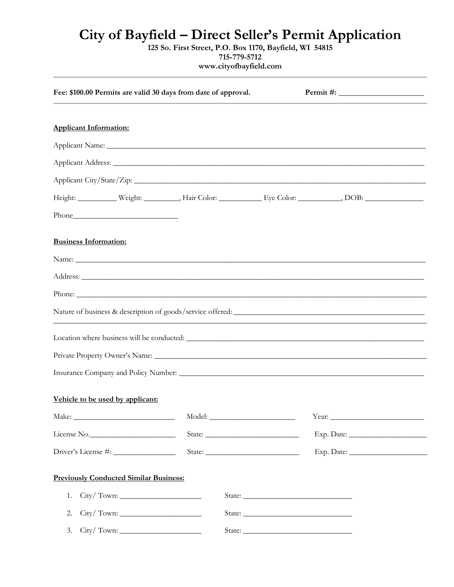## **City of Bayfield – Direct Seller's Permit Application**

**125 So. First Street, P.O. Box 1170, Bayfield, WI 54815 715-779-5712**

**www.cityofbayfield.com**

| Fee: \$100.00 Permits are valid 30 days from date of approval. |        |        |            |  |  |
|----------------------------------------------------------------|--------|--------|------------|--|--|
|                                                                |        |        |            |  |  |
| <b>Applicant Information:</b>                                  |        |        |            |  |  |
|                                                                |        |        |            |  |  |
|                                                                |        |        |            |  |  |
|                                                                |        |        |            |  |  |
|                                                                |        |        |            |  |  |
|                                                                |        |        |            |  |  |
| <b>Business Information:</b>                                   |        |        |            |  |  |
|                                                                |        |        |            |  |  |
|                                                                |        |        |            |  |  |
|                                                                |        |        |            |  |  |
|                                                                |        |        |            |  |  |
|                                                                |        |        |            |  |  |
|                                                                |        |        |            |  |  |
|                                                                |        |        |            |  |  |
| Vehicle to be used by applicant:                               |        |        |            |  |  |
|                                                                |        |        |            |  |  |
| License No.                                                    |        |        |            |  |  |
|                                                                | State: |        | Exp. Date: |  |  |
| <b>Previously Conducted Similar Business:</b>                  |        |        |            |  |  |
| City/Town:<br>1.                                               |        |        |            |  |  |
| 2.                                                             |        | State: |            |  |  |
| 3.                                                             |        |        |            |  |  |